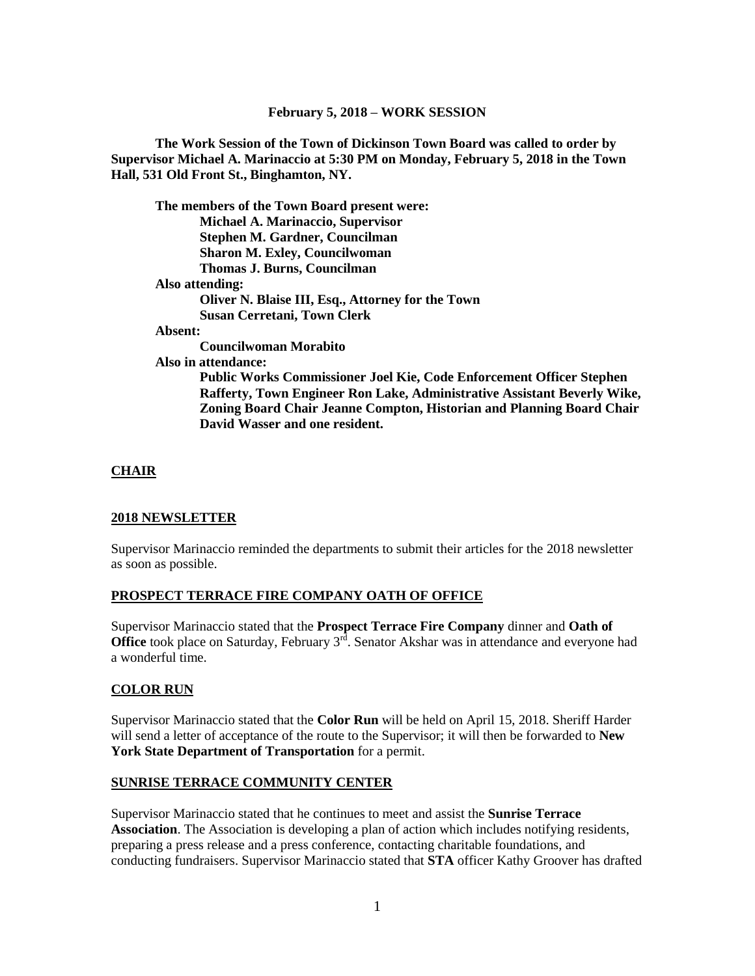### **February 5, 2018 – WORK SESSION**

**The Work Session of the Town of Dickinson Town Board was called to order by Supervisor Michael A. Marinaccio at 5:30 PM on Monday, February 5, 2018 in the Town Hall, 531 Old Front St., Binghamton, NY.**

|                     | The members of the Town Board present were:                              |
|---------------------|--------------------------------------------------------------------------|
|                     | <b>Michael A. Marinaccio, Supervisor</b>                                 |
|                     | <b>Stephen M. Gardner, Councilman</b>                                    |
|                     | <b>Sharon M. Exley, Councilwoman</b>                                     |
|                     | <b>Thomas J. Burns, Councilman</b>                                       |
| Also attending:     |                                                                          |
|                     | Oliver N. Blaise III, Esq., Attorney for the Town                        |
|                     | <b>Susan Cerretani, Town Clerk</b>                                       |
| Absent:             |                                                                          |
|                     | Councilwoman Morabito                                                    |
| Also in attendance: |                                                                          |
|                     | Public Works Commissioner Joel Kie, Code Enforcement Officer Stephen     |
|                     | Rafferty, Town Engineer Ron Lake, Administrative Assistant Beverly Wike, |
|                     | Zoning Board Chair Jeanne Compton, Historian and Planning Board Chair    |
|                     | David Wasser and one resident.                                           |

### **CHAIR**

### **2018 NEWSLETTER**

Supervisor Marinaccio reminded the departments to submit their articles for the 2018 newsletter as soon as possible.

### **PROSPECT TERRACE FIRE COMPANY OATH OF OFFICE**

Supervisor Marinaccio stated that the **Prospect Terrace Fire Company** dinner and **Oath of Office** took place on Saturday, February 3<sup>rd</sup>. Senator Akshar was in attendance and everyone had a wonderful time.

### **COLOR RUN**

Supervisor Marinaccio stated that the **Color Run** will be held on April 15, 2018. Sheriff Harder will send a letter of acceptance of the route to the Supervisor; it will then be forwarded to **New York State Department of Transportation** for a permit.

### **SUNRISE TERRACE COMMUNITY CENTER**

Supervisor Marinaccio stated that he continues to meet and assist the **Sunrise Terrace Association**. The Association is developing a plan of action which includes notifying residents, preparing a press release and a press conference, contacting charitable foundations, and conducting fundraisers. Supervisor Marinaccio stated that **STA** officer Kathy Groover has drafted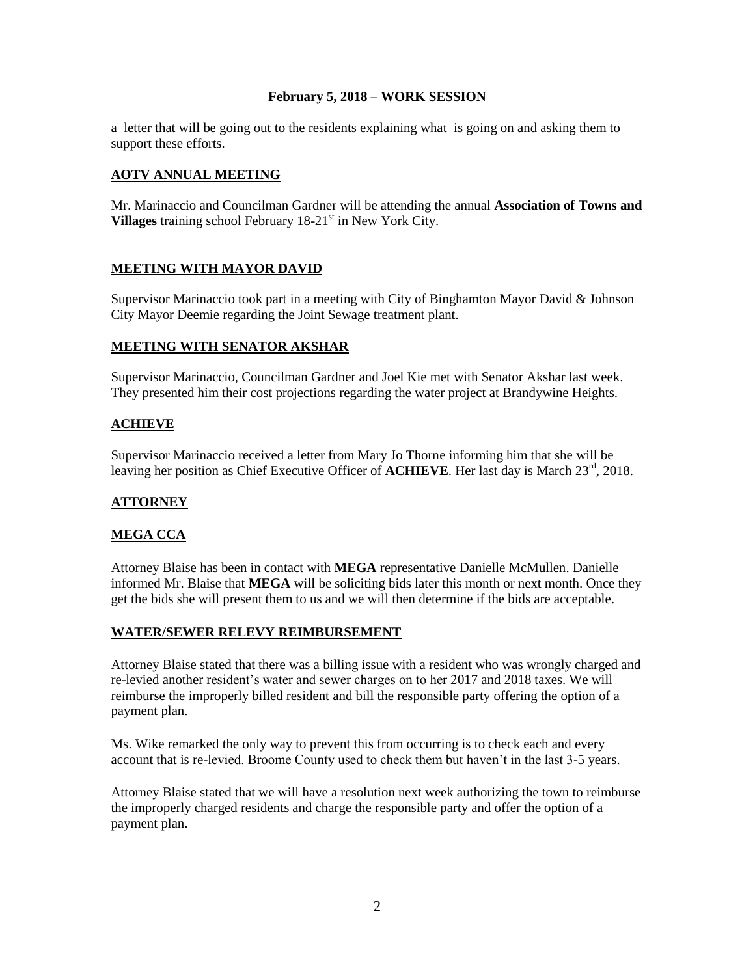### **February 5, 2018 – WORK SESSION**

a letter that will be going out to the residents explaining what is going on and asking them to support these efforts.

# **AOTV ANNUAL MEETING**

Mr. Marinaccio and Councilman Gardner will be attending the annual **Association of Towns and Villages** training school February 18-21<sup>st</sup> in New York City.

# **MEETING WITH MAYOR DAVID**

Supervisor Marinaccio took part in a meeting with City of Binghamton Mayor David & Johnson City Mayor Deemie regarding the Joint Sewage treatment plant.

## **MEETING WITH SENATOR AKSHAR**

Supervisor Marinaccio, Councilman Gardner and Joel Kie met with Senator Akshar last week. They presented him their cost projections regarding the water project at Brandywine Heights.

## **ACHIEVE**

Supervisor Marinaccio received a letter from Mary Jo Thorne informing him that she will be leaving her position as Chief Executive Officer of **ACHIEVE**. Her last day is March 23<sup>rd</sup>, 2018.

## **ATTORNEY**

## **MEGA CCA**

Attorney Blaise has been in contact with **MEGA** representative Danielle McMullen. Danielle informed Mr. Blaise that **MEGA** will be soliciting bids later this month or next month. Once they get the bids she will present them to us and we will then determine if the bids are acceptable.

### **WATER/SEWER RELEVY REIMBURSEMENT**

Attorney Blaise stated that there was a billing issue with a resident who was wrongly charged and re-levied another resident's water and sewer charges on to her 2017 and 2018 taxes. We will reimburse the improperly billed resident and bill the responsible party offering the option of a payment plan.

Ms. Wike remarked the only way to prevent this from occurring is to check each and every account that is re-levied. Broome County used to check them but haven't in the last 3-5 years.

Attorney Blaise stated that we will have a resolution next week authorizing the town to reimburse the improperly charged residents and charge the responsible party and offer the option of a payment plan.